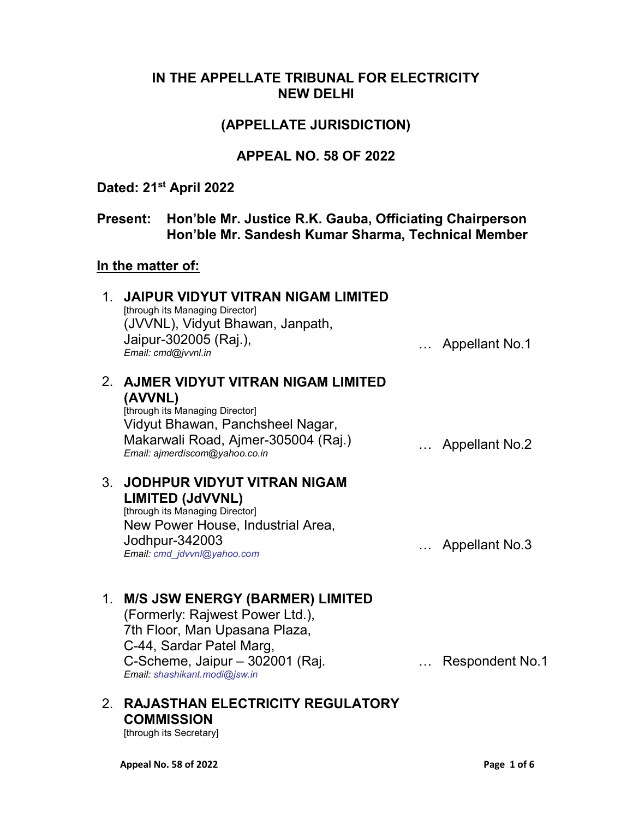## IN THE APPELLATE TRIBUNAL FOR ELECTRICITY NEW DELHI

## (APPELLATE JURISDICTION)

## APPEAL NO. 58 OF 2022

## Dated: 21<sup>st</sup> April 2022

# Present: Hon'ble Mr. Justice R.K. Gauba, Officiating Chairperson Hon'ble Mr. Sandesh Kumar Sharma, Technical Member

## In the matter of:

| $1_{-}$ | <b>JAIPUR VIDYUT VITRAN NIGAM LIMITED</b><br>[through its Managing Director]<br>(JVVNL), Vidyut Bhawan, Janpath,<br>Jaipur-302005 (Raj.),<br>Email: cmd@jvvnl.in                                           | Appellant No.1         |
|---------|------------------------------------------------------------------------------------------------------------------------------------------------------------------------------------------------------------|------------------------|
| 2.      | AJMER VIDYUT VITRAN NIGAM LIMITED<br>(AVVNL)<br>[through its Managing Director]<br>Vidyut Bhawan, Panchsheel Nagar,<br>Makarwali Road, Ajmer-305004 (Raj.)<br>Email: ajmerdiscom@yahoo.co.in               | Appellant No.2         |
| $3_{-}$ | <b>JODHPUR VIDYUT VITRAN NIGAM</b><br>LIMITED (JdVVNL)<br>[through its Managing Director]<br>New Power House, Industrial Area,<br>Jodhpur-342003<br>Email: cmd_jdvvnl@yahoo.com                            | Appellant No.3         |
| 1.      | <b>M/S JSW ENERGY (BARMER) LIMITED</b><br>(Formerly: Rajwest Power Ltd.),<br>7th Floor, Man Upasana Plaza,<br>C-44, Sardar Patel Marg,<br>C-Scheme, Jaipur - 302001 (Raj.<br>Email: shashikant.modi@jsw.in | <b>Respondent No.1</b> |

# 2. RAJASTHAN ELECTRICITY REGULATORY **COMMISSION**

[through its Secretary]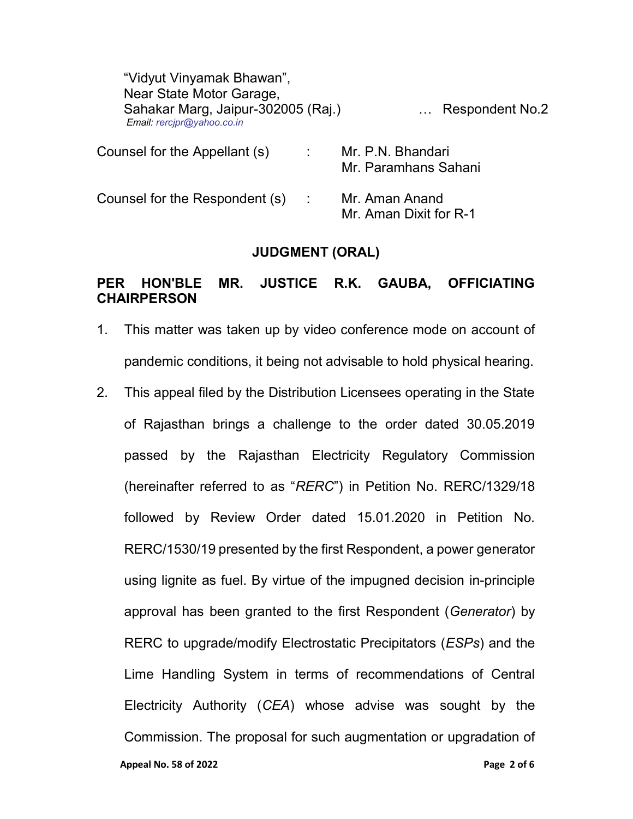| "Vidyut Vinyamak Bhawan",<br>Near State Motor Garage,<br>Sahakar Marg, Jaipur-302005 (Raj.)<br>Email: rercjpr@yahoo.co.in |   | <b>Respondent No.2</b>                    |
|---------------------------------------------------------------------------------------------------------------------------|---|-------------------------------------------|
| Counsel for the Appellant (s)                                                                                             | ÷ | Mr. P.N. Bhandari<br>Mr. Paramhans Sahani |
| Counsel for the Respondent (s)                                                                                            | ÷ | Mr. Aman Anand<br>Mr. Aman Dixit for R-1  |

#### JUDGMENT (ORAL)

### PER HON'BLE MR. JUSTICE R.K. GAUBA, OFFICIATING **CHAIRPERSON**

- 1. This matter was taken up by video conference mode on account of pandemic conditions, it being not advisable to hold physical hearing.
- Appeal No. 58 of 2022 **Page 2 of 6** and 2022 2. This appeal filed by the Distribution Licensees operating in the State of Rajasthan brings a challenge to the order dated 30.05.2019 passed by the Rajasthan Electricity Regulatory Commission (hereinafter referred to as "RERC") in Petition No. RERC/1329/18 followed by Review Order dated 15.01.2020 in Petition No. RERC/1530/19 presented by the first Respondent, a power generator using lignite as fuel. By virtue of the impugned decision in-principle approval has been granted to the first Respondent (Generator) by RERC to upgrade/modify Electrostatic Precipitators (ESPs) and the Lime Handling System in terms of recommendations of Central Electricity Authority (CEA) whose advise was sought by the Commission. The proposal for such augmentation or upgradation of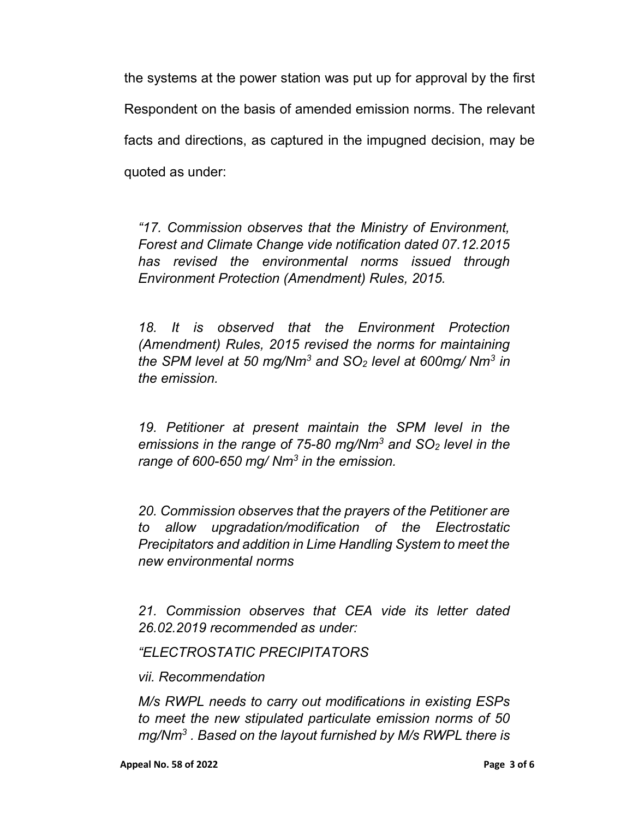the systems at the power station was put up for approval by the first Respondent on the basis of amended emission norms. The relevant facts and directions, as captured in the impugned decision, may be quoted as under:

"17. Commission observes that the Ministry of Environment, Forest and Climate Change vide notification dated 07.12.2015 has revised the environmental norms issued through Environment Protection (Amendment) Rules, 2015.

18. It is observed that the Environment Protection (Amendment) Rules, 2015 revised the norms for maintaining the SPM level at 50 mg/Nm<sup>3</sup> and SO<sub>2</sub> level at 600mg/ Nm<sup>3</sup> in the emission.

19. Petitioner at present maintain the SPM level in the emissions in the range of 75-80 mg/Nm<sup>3</sup> and SO<sub>2</sub> level in the range of 600-650 mg/ Nm<sup>3</sup> in the emission.

20. Commission observes that the prayers of the Petitioner are to allow upgradation/modification of the Electrostatic Precipitators and addition in Lime Handling System to meet the new environmental norms

21. Commission observes that CEA vide its letter dated 26.02.2019 recommended as under:

"ELECTROSTATIC PRECIPITATORS

vii. Recommendation

M/s RWPL needs to carry out modifications in existing ESPs to meet the new stipulated particulate emission norms of 50 mg/Nm $3$  . Based on the layout furnished by M/s RWPL there is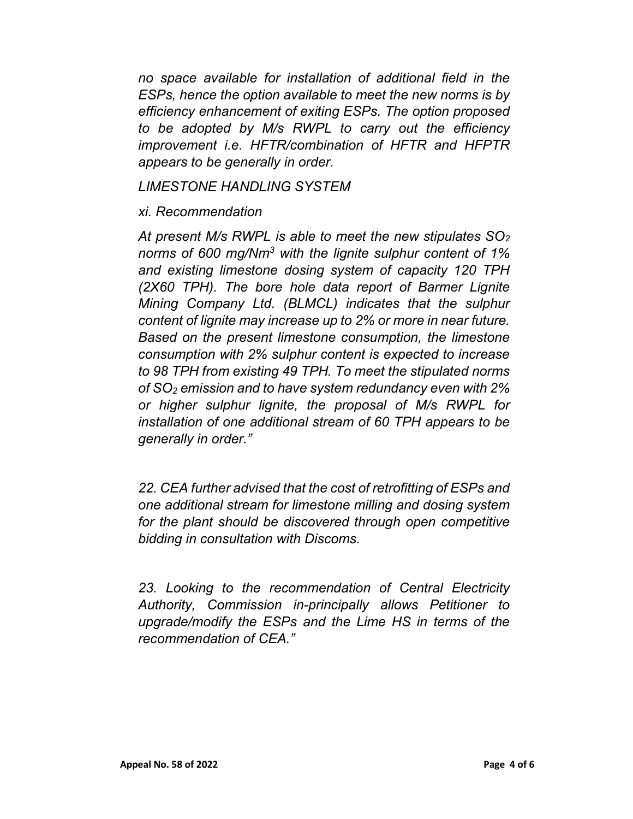no space available for installation of additional field in the ESPs, hence the option available to meet the new norms is by efficiency enhancement of exiting ESPs. The option proposed to be adopted by M/s RWPL to carry out the efficiency improvement i.e. HFTR/combination of HFTR and HFPTR appears to be generally in order.

LIMESTONE HANDLING SYSTEM

xi. Recommendation

At present M/s RWPL is able to meet the new stipulates  $SO<sub>2</sub>$ norms of 600 mg/Nm<sup>3</sup> with the lignite sulphur content of 1% and existing limestone dosing system of capacity 120 TPH (2X60 TPH). The bore hole data report of Barmer Lignite Mining Company Ltd. (BLMCL) indicates that the sulphur content of lignite may increase up to 2% or more in near future. Based on the present limestone consumption, the limestone consumption with 2% sulphur content is expected to increase to 98 TPH from existing 49 TPH. To meet the stipulated norms of SO2 emission and to have system redundancy even with 2% or higher sulphur lignite, the proposal of M/s RWPL for installation of one additional stream of 60 TPH appears to be generally in order."

22. CEA further advised that the cost of retrofitting of ESPs and one additional stream for limestone milling and dosing system for the plant should be discovered through open competitive bidding in consultation with Discoms.

23. Looking to the recommendation of Central Electricity Authority, Commission in-principally allows Petitioner to upgrade/modify the ESPs and the Lime HS in terms of the recommendation of CFA "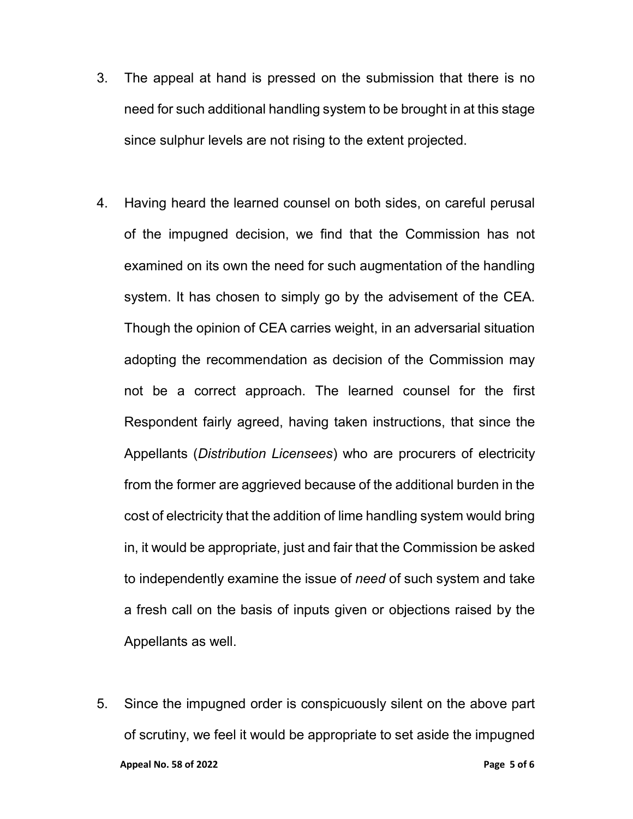- 3. The appeal at hand is pressed on the submission that there is no need for such additional handling system to be brought in at this stage since sulphur levels are not rising to the extent projected.
- 4. Having heard the learned counsel on both sides, on careful perusal of the impugned decision, we find that the Commission has not examined on its own the need for such augmentation of the handling system. It has chosen to simply go by the advisement of the CEA. Though the opinion of CEA carries weight, in an adversarial situation adopting the recommendation as decision of the Commission may not be a correct approach. The learned counsel for the first Respondent fairly agreed, having taken instructions, that since the Appellants (Distribution Licensees) who are procurers of electricity from the former are aggrieved because of the additional burden in the cost of electricity that the addition of lime handling system would bring in, it would be appropriate, just and fair that the Commission be asked to independently examine the issue of need of such system and take a fresh call on the basis of inputs given or objections raised by the Appellants as well.
- Appeal No. 58 of 2022 **Page 1 of 6** and 2022 **Page 5 of 6** 5. Since the impugned order is conspicuously silent on the above part of scrutiny, we feel it would be appropriate to set aside the impugned